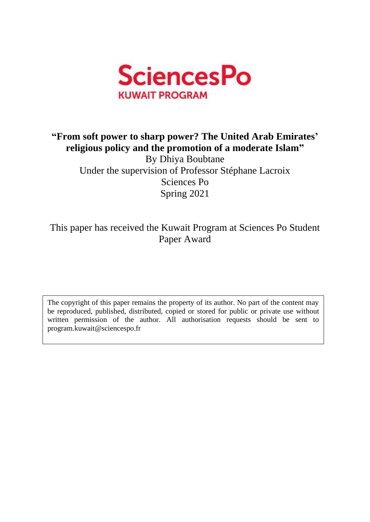

# **"From soft power to sharp power? The United Arab Emirates' religious policy and the promotion of a moderate Islam"**

By Dhiya Boubtane Under the supervision of Professor Stéphane Lacroix Sciences Po Spring 2021

This paper has received the Kuwait Program at Sciences Po Student Paper Award

The copyright of this paper remains the property of its author. No part of the content may be reproduced, published, distributed, copied or stored for public or private use without written permission of the author. All authorisation requests should be sent to program.kuwait@sciencespo.fr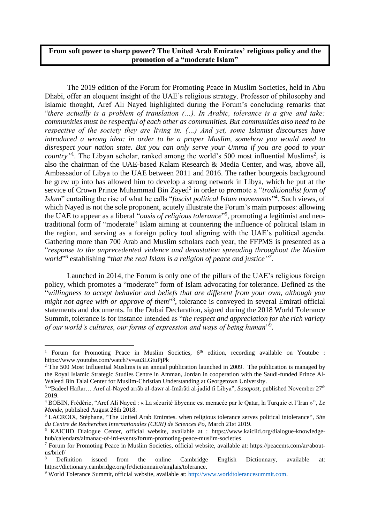# **From soft power to sharp power? The United Arab Emirates' religious policy and the promotion of a "moderate Islam"**

The 2019 edition of the Forum for Promoting Peace in Muslim Societies, held in Abu Dhabi, offer an eloquent insight of the UAE's religious strategy. Professor of philosophy and Islamic thought, Aref Ali Nayed highlighted during the Forum's concluding remarks that "*there actually is a problem of translation (…). In Arabic, tolerance is a give and take: communities must be respectful of each other as communities. But communities also need to be respective of the society they are living in. (...) And yet, some Islamist discourses have introduced a wrong idea: in order to be a proper Muslim, somehow you would need to disrespect your nation state. But you can only serve your Umma if you are good to your country*"<sup>1</sup>. The Libyan scholar, ranked among the world's 500 most influential Muslims<sup>2</sup>, is also the chairman of the UAE-based Kalam Research & Media Center, and was, above all, Ambassador of Libya to the UAE between 2011 and 2016. The rather bourgeois background he grew up into has allowed him to develop a strong network in Libya, which he put at the service of Crown Prince Muhammad Bin Zayed<sup>3</sup> in order to promote a "*traditionalist form of Islam*" curtailing the rise of what he calls "*fascist political Islam movements*" 4 . Such views, of which Nayed is not the sole proponent, acutely illustrate the Forum's main purposes: allowing the UAE to appear as a liberal "*oasis of religious tolerance*" 5 , promoting a legitimist and neotraditional form of "moderate" Islam aiming at countering the influence of political Islam in the region, and serving as a foreign policy tool aligning with the UAE's political agenda. Gathering more than 700 Arab and Muslim scholars each year, the FFPMS is presented as a "*response to the unprecedented violence and devastation spreading throughout the Muslim*  world"<sup>6</sup> establishing "*that the real Islam is a religion of peace and justice*"<sup>7</sup>.

Launched in 2014, the Forum is only one of the pillars of the UAE's religious foreign policy, which promotes a "moderate" form of Islam advocating for tolerance. Defined as the "*willingness to accept behavior and beliefs that are different from your own, although you*  might not agree with or approve of them<sup>38</sup>, tolerance is conveyed in several Emirati official statements and documents. In the Dubai Declaration, signed during the 2018 World Tolerance Summit, tolerance is for instance intended as "*the respect and appreciation for the rich variety*  of our world's cultures, our forms of expression and ways of being human"<sup>9</sup>.

<sup>&</sup>lt;sup>1</sup> Forum for Promoting Peace in Muslim Societies, 6<sup>th</sup> edition, recording available on Youtube : https://www.youtube.com/watch?v=au3LGtuPjPk

<sup>&</sup>lt;sup>2</sup> The 500 Most Influential Muslims is an annual publication launched in 2009. The publication is managed by the Royal Islamic Strategic Studies Centre in Amman, Jordan in cooperation with the Saudi-funded Prince Al-Waleed Bin Talal Center for Muslim-Christian Understanding at Georgetown University.

<sup>&</sup>lt;sup>3</sup> "Badeel Haftar... Aref al-Nayed arrâb al-dawr al-Imârâti al-jadid fi Libya", *Sasapost*, published November 27<sup>th</sup> 2019.

<sup>4</sup> BOBIN, Frédéric, "Aref Ali Nayed : « La sécurité libyenne est menacée par le Qatar, la Turquie et l'Iran »", *Le Monde*, published August 28th 2018.

<sup>5</sup> LACROIX, Stéphane, "The United Arab Emirates. when religious tolerance serves political intolerance", *Site du Centre de Recherches Internationales (CERI) de Sciences Po*, March 21st 2019.

<sup>6</sup> KAICIID Dialogue Center, official website, available at : https://www.kaiciid.org/dialogue-knowledgehub/calendars/almanac-of-ird-events/forum-promoting-peace-muslim-societies

<sup>7</sup> Forum for Promoting Peace in Muslim Societies, official website, available at: https://peacems.com/ar/aboutus/brief/

<sup>8</sup> Definition issued from the online Cambridge English Dictionnary, available at: https://dictionary.cambridge.org/fr/dictionnaire/anglais/tolerance.

<sup>9</sup> World Tolerance Summit, official website, available at: [http://www.worldtolerancesummit.com.](http://www.worldtolerancesummit.com/)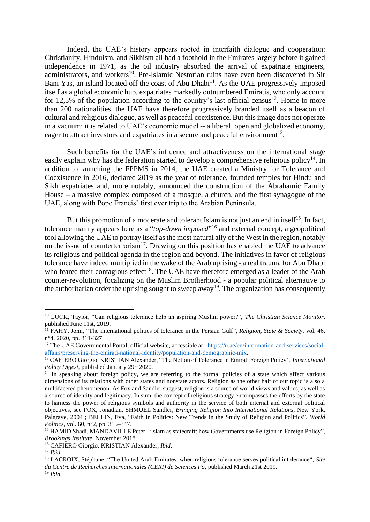Indeed, the UAE's history appears rooted in interfaith dialogue and cooperation: Christianity, Hinduism, and Sikhism all had a foothold in the Emirates largely before it gained independence in 1971, as the oil industry absorbed the arrival of expatriate engineers, administrators, and workers<sup>10</sup>. Pre-Islamic Nestorian ruins have even been discovered in Sir Bani Yas, an island located off the coast of Abu Dhabi<sup>11</sup>. As the UAE progressively imposed itself as a global economic hub, expatriates markedly outnumbered Emiratis, who only account for 12.5% of the population according to the country's last official census<sup>12</sup>. Home to more than 200 nationalities, the UAE have therefore progressively branded itself as a beacon of cultural and religious dialogue, as well as peaceful coexistence. But this image does not operate in a vacuum: it is related to UAE's economic model -- a liberal, open and globalized economy, eager to attract investors and expatriates in a secure and peaceful environment<sup>13</sup>.

Such benefits for the UAE's influence and attractiveness on the international stage easily explain why has the federation started to develop a comprehensive religious policy<sup>14</sup>. In addition to launching the FPPMS in 2014, the UAE created a Ministry for Tolerance and Coexistence in 2016, declared 2019 as the year of tolerance, founded temples for Hindu and Sikh expatriates and, more notably, announced the construction of the Abrahamic Family House – a massive complex composed of a mosque, a church, and the first synagogue of the UAE, along with Pope Francis' first ever trip to the Arabian Peninsula.

But this promotion of a moderate and tolerant Islam is not just an end in itself<sup>15</sup>. In fact, tolerance mainly appears here as a "*top-down imposed*" <sup>16</sup> and external concept, a geopolitical tool allowing the UAE to portray itself as the most natural ally of the West in the region, notably on the issue of counterterrorism<sup>17</sup>. Drawing on this position has enabled the UAE to advance its religious and political agenda in the region and beyond. The initiatives in favor of religious tolerance have indeed multiplied in the wake of the Arab uprising - a real trauma for Abu Dhabi who feared their contagious effect<sup>18</sup>. The UAE have therefore emerged as a leader of the Arab counter-revolution, focalizing on the Muslim Brotherhood - a popular political alternative to the authoritarian order the uprising sought to sweep away<sup>19</sup>. The organization has consequently

<sup>10</sup> LUCK, Taylor, "Can religious tolerance help an aspiring Muslim power?", *The Christian Science Monitor,* published June 11st, 2019.

<sup>11</sup> FAHY, John, "The international politics of tolerance in the Persian Gulf", *Religion, State & Society,* vol. 46, n°4, 2020, pp. 311-327.

<sup>&</sup>lt;sup>12</sup> The UAE Governmental Portal, official website, accessible at : [https://u.ae/en/information-and-services/social](https://u.ae/en/information-and-services/social-affairs/preserving-the-emirati-national-identity/population-and-demographic-mix)[affairs/preserving-the-emirati-national-identity/population-and-demographic-mix.](https://u.ae/en/information-and-services/social-affairs/preserving-the-emirati-national-identity/population-and-demographic-mix)

<sup>13</sup> CAFIERO Giorgio, KRISTIAN Alexander, "The Notion of Tolerance in Emirati Foreign Policy", *International Policy Digest*, published January 29th 2020.

<sup>&</sup>lt;sup>14</sup> In speaking about foreign policy, we are referring to the formal policies of a state which affect various dimensions of its relations with other states and nonstate actors. Religion as the other half of our topic is also a multifaceted phenomenon. As Fox and Sandler suggest, religion is a source of world views and values, as well as a source of identity and legitimacy. In sum, the concept of religious strategy encompasses the efforts by the state to harness the power of religious symbols and authority in the service of both internal and external political objectives, see FOX, Jonathan, SHMUEL Sandler, *Bringing Religion Into International Relations,* New York, Palgrave, 2004 ; BELLIN, Eva, "Faith in Politics: New Trends in the Study of Religion and Politics", *World Politics*, vol. 60, n°2, pp. 315–347.

<sup>15</sup> HAMID Shadi, MANDAVILLE Peter, "Islam as statecraft: how Governments use Religion in Foreign Policy", *Brookings Institute*, November 2018.

<sup>16</sup> CAFIERO Giorgio, KRISTIAN Alexander, *Ibid*.

<sup>17</sup> *Ibid.* 

<sup>18</sup> LACROIX, Stéphane, "The United Arab Emirates. when religious tolerance serves political intolerance", *Site du Centre de Recherches Internationales (CERI) de Sciences Po*, published March 21st 2019. <sup>19</sup> *Ibid.*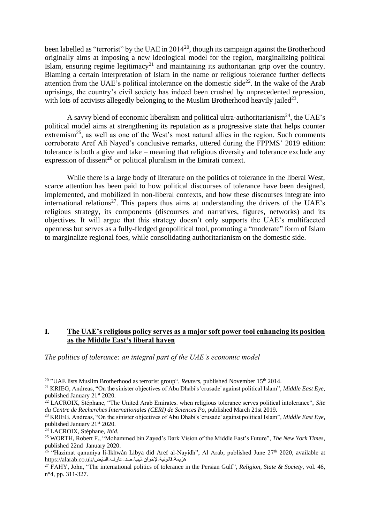been labelled as "terrorist" by the UAE in  $2014^{20}$ , though its campaign against the Brotherhood originally aims at imposing a new ideological model for the region, marginalizing political Islam, ensuring regime legitimacy<sup>21</sup> and maintaining its authoritarian grip over the country. Blaming a certain interpretation of Islam in the name or religious tolerance further deflects attention from the UAE's political intolerance on the domestic side<sup>22</sup>. In the wake of the Arab uprisings, the country's civil society has indeed been crushed by unprecedented repression, with lots of activists allegedly belonging to the Muslim Brotherhood heavily jailed<sup>23</sup>.

A savvy blend of economic liberalism and political ultra-authoritarianism<sup>24</sup>, the UAE's political model aims at strengthening its reputation as a progressive state that helps counter extremism<sup>25</sup>, as well as one of the West's most natural allies in the region. Such comments corroborate Aref Ali Nayed's conclusive remarks, uttered during the FPPMS' 2019 edition: tolerance is both a give and take – meaning that religious diversity and tolerance exclude any expression of dissent<sup>26</sup> or political pluralism in the Emirati context.

While there is a large body of literature on the politics of tolerance in the liberal West, scarce attention has been paid to how political discourses of tolerance have been designed, implemented, and mobilized in non-liberal contexts, and how these discourses integrate into international relations<sup>27</sup>. This papers thus aims at understanding the drivers of the UAE's religious strategy, its components (discourses and narratives, figures, networks) and its objectives. It will argue that this strategy doesn't only supports the UAE's multifaceted openness but serves as a fully-fledged geopolitical tool, promoting a "moderate" form of Islam to marginalize regional foes, while consolidating authoritarianism on the domestic side.

# **I. The UAE's religious policy serves as a major soft power tool enhancing its position as the Middle East's liberal haven**

*The politics of tolerance: an integral part of the UAE's economic model*

<sup>&</sup>lt;sup>20</sup> "UAE lists Muslim Brotherhood as terrorist group", *Reuters*, published November 15<sup>th</sup> 2014.

<sup>21</sup> KRIEG, Andreas, "On the sinister objectives of Abu Dhabi's 'crusade' against political Islam", *Middle East Eye*, published January 21st 2020.

<sup>22</sup> LACROIX, Stéphane, "The United Arab Emirates. when religious tolerance serves political intolerance", *Site du Centre de Recherches Internationales (CERI) de Sciences Po*, published March 21st 2019.

<sup>23</sup> KRIEG, Andreas, "On the sinister objectives of Abu Dhabi's 'crusade' against political Islam", *Middle East Eye*, published January 21st 2020.

<sup>24</sup> LACROIX, Stéphane, *Ibid.*

<sup>25</sup> WORTH, Robert F., "Mohammed bin Zayed's Dark Vision of the Middle East's Future", *The New York Times*, published 22nd January 2020.

<sup>&</sup>lt;sup>26</sup> "Hazimat qanuniya li-Ikhwân Libya did Aref al-Nayidh", Al Arab, published June 27<sup>th</sup> 2020, available at هزيمة-قانونية-لإخوان-ليبيا-ضد-عارف-النايض/https://alarab.co.uk

<sup>27</sup> FAHY, John, "The international politics of tolerance in the Persian Gulf", *Religion, State & Society,* vol. 46, n°4, pp. 311-327.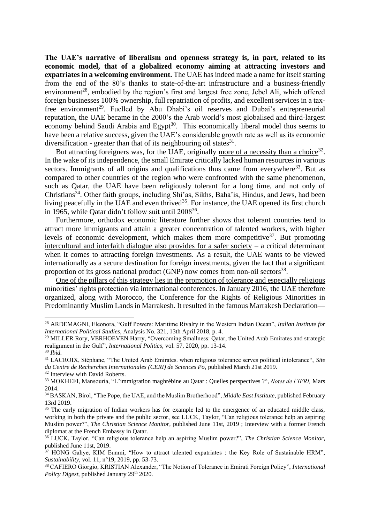**The UAE's narrative of liberalism and openness strategy is, in part, related to its economic model, that of a globalized economy aiming at attracting investors and expatriates in a welcoming environment.** The UAE has indeed made a name for itself starting from the end of the 80's thanks to state-of-the-art infrastructure and a business-friendly environment<sup>28</sup>, embodied by the region's first and largest free zone, Jebel Ali, which offered foreign businesses 100% ownership, full repatriation of profits, and excellent services in a taxfree environment<sup>29</sup>. Fuelled by Abu Dhabi's oil reserves and Dubai's entrepreneurial reputation, the UAE became in the 2000's the Arab world's most globalised and third-largest economy behind Saudi Arabia and Egypt<sup>30</sup>. This economically liberal model thus seems to have been a relative success, given the UAE's considerable growth rate as well as its economic diversification - greater than that of its neighbouring oil states $^{31}$ .

But attracting foreigners was, for the UAE, originally more of a necessity than a choice<sup>32</sup>. In the wake of its independence, the small Emirate critically lacked human resources in various sectors. Immigrants of all origins and qualifications thus came from everywhere<sup>33</sup>. But as compared to other countries of the region who were confronted with the same phenomenon, such as Qatar, the UAE have been religiously tolerant for a long time, and not only of Christians<sup>34</sup>. Other faith groups, including Shi'as, Sikhs, Baha'is, Hindus, and Jews, had been living peacefully in the UAE and even thrived<sup>35</sup>. For instance, the UAE opened its first church in 1965, while Qatar didn't follow suit until 2008<sup>36</sup>.

Furthermore, orthodox economic literature further shows that tolerant countries tend to attract more immigrants and attain a greater concentration of talented workers, with higher levels of economic development, which makes them more competitive<sup>37</sup>. But promoting intercultural and interfaith dialogue also provides for a safer society – a critical determinant when it comes to attracting foreign investments. As a result, the UAE wants to be viewed internationally as a secure destination for foreign investments, given the fact that a significant proportion of its gross national product (GNP) now comes from non-oil sectors<sup>38</sup>.

One of the pillars of this strategy lies in the promotion of tolerance and especially religious minorities' rights protection via international conferences. In January 2016, the UAE therefore organized, along with Morocco, the Conference for the Rights of Religious Minorities in Predominantly Muslim Lands in Marrakesh. It resulted in the famous Marrakesh Declaration—

<sup>32</sup> Interview with David Roberts.

<sup>28</sup> ARDEMAGNI, Eleonora, "Gulf Powers: Maritime Rivalry in the Western Indian Ocean", *Italian Institute for International Political Studies*, Analysis No. 321, 13th April 2018, p. 4.

<sup>&</sup>lt;sup>29</sup> MILLER Rory, VERHOEVEN Harry, "Overcoming Smallness: Qatar, the United Arab Emirates and strategic realignment in the Gulf", *International Politics*, vol. 57, 2020, pp. 13-14.

<sup>30</sup> *Ibid.*

<sup>31</sup> LACROIX, Stéphane, "The United Arab Emirates. when religious tolerance serves political intolerance", *Site du Centre de Recherches Internationales (CERI) de Sciences Po*, published March 21st 2019.

<sup>33</sup> MOKHEFI, Mansouria, "L'immigration maghrébine au Qatar : Quelles perspectives ?", *Notes de l'IFRI,* Mars 2014.

<sup>34</sup> BASKAN, Birol, "The Pope, the UAE, and the Muslim Brotherhood", *Middle East Institute,* published February 13rd 2019.

<sup>&</sup>lt;sup>35</sup> The early migration of Indian workers has for example led to the emergence of an educated middle class, working in both the private and the public sector, see LUCK, Taylor, "Can religious tolerance help an aspiring Muslim power?", *The Christian Science Monitor,* published June 11st, 2019 ; Interview with a former French diplomat at the French Embassy in Qatar.

<sup>36</sup> LUCK, Taylor, "Can religious tolerance help an aspiring Muslim power?", *The Christian Science Monitor,* published June 11st, 2019.

 $37$  HONG Gahye, KIM Eunmi, "How to attract talented expatriates : the Key Role of Sustainable HRM", *Sustainability*, vol. 11, n°19, 2019, pp. 53-73.

<sup>38</sup> CAFIERO Giorgio, KRISTIAN Alexander, "The Notion of Tolerance in Emirati Foreign Policy", *International Policy Digest*, published January 29<sup>th</sup> 2020.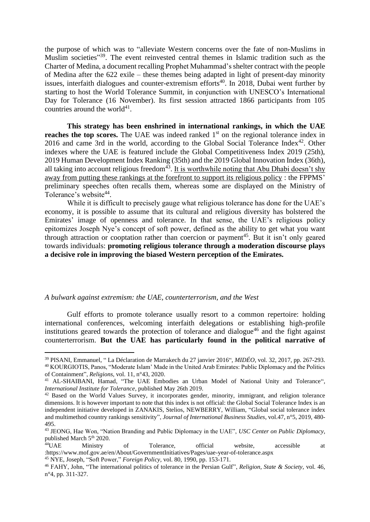the purpose of which was to "alleviate Western concerns over the fate of non-Muslims in Muslim societies"<sup>39</sup>. The event reinvested central themes in Islamic tradition such as the Charter of Medina, a document recalling Prophet Muhammad's shelter contract with the people of Medina after the 622 exile – these themes being adapted in light of present-day minority issues, interfaith dialogues and counter-extremism efforts<sup>40</sup>. In 2018, Dubai went further by starting to host the World Tolerance Summit, in conjunction with UNESCO's International Day for Tolerance (16 November). Its first session attracted 1866 participants from 105 countries around the world $^{41}$ .

**This strategy has been enshrined in international rankings, in which the UAE reaches the top scores.** The UAE was indeed ranked 1<sup>st</sup> on the regional tolerance index in 2016 and came 3rd in the world, according to the Global Social Tolerance Index<sup>42</sup>. Other indexes where the UAE is featured include the Global Competitiveness Index 2019 (25th), 2019 Human Development Index Ranking (35th) and the 2019 Global Innovation Index (36th), all taking into account religious freedom<sup>43</sup>. It is worthwhile noting that Abu Dhabi doesn't shy away from putting these rankings at the forefront to support its religious policy : the FPPMS' preliminary speeches often recalls them, whereas some are displayed on the Ministry of Tolerance's website<sup>44</sup>.

While it is difficult to precisely gauge what religious tolerance has done for the UAE's economy, it is possible to assume that its cultural and religious diversity has bolstered the Emirates' image of openness and tolerance. In that sense, the UAE's religious policy epitomizes Joseph Nye's concept of soft power, defined as the ability to get what you want through attraction or cooptation rather than coercion or payment<sup>45</sup>. But it isn't only geared towards individuals: **promoting religious tolerance through a moderation discourse plays a decisive role in improving the biased Western perception of the Emirates.**

#### *A bulwark against extremism: the UAE, counterterrorism, and the West*

Gulf efforts to promote tolerance usually resort to a common repertoire: holding international conferences, welcoming interfaith delegations or establishing high-profile institutions geared towards the protection of tolerance and dialogue<sup>46</sup> and the fight against counterterrorism. **But the UAE has particularly found in the political narrative of** 

<sup>39</sup> PISANI, Emmanuel, " La Déclaration de Marrakech du 27 janvier 2016", *MIDÉO*, vol. 32, 2017, pp. 267-293. <sup>40</sup> KOURGIOTIS, Panos, "Moderate Islam' Made in the United Arab Emirates: Public Diplomacy and the Politics of Containment", *Religions,* vol. 11, n°43, 2020.

<sup>41</sup> AL-SHAIBANI, Hamad, "The UAE Embodies an Urban Model of National Unity and Tolerance", *International Institute for Tolerance*, published May 26th 2019.

<sup>42</sup> Based on the World Values Survey, it incorporates gender, minority, immigrant, and religion tolerance dimensions. It is however important to note that this index is not official: the Global Social Tolerance Index is an independent initiative developed in ZANAKIS, Stelios, NEWBERRY, William, "Global social tolerance index and multimethod country rankings sensitivity", *Journal of International Business Studies*, vol.47, n°5, 2019, 480- 495.

<sup>43</sup> JEONG, Hae Won, "Nation Branding and Public Diplomacy in the UAE", *USC Center on Public Diplomacy*, published March 5<sup>th</sup> 2020.

<sup>44</sup>UAE Ministry of Tolerance, official website, accessible at :https://www.mof.gov.ae/en/About/GovernmentInitiatives/Pages/uae-year-of-tolerance.aspx

<sup>45</sup> NYE, Joseph, "Soft Power," *Foreign Policy,* vol. 80, 1990, pp. 153-171.

<sup>46</sup> FAHY, John, "The international politics of tolerance in the Persian Gulf", *Religion, State & Society,* vol. 46, n°4, pp. 311-327.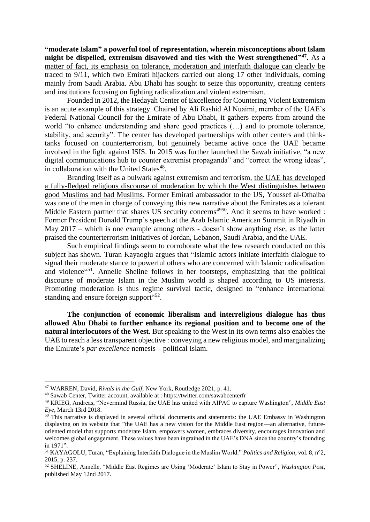**"moderate Islam" a powerful tool of representation, wherein misconceptions about Islam**  might be dispelled, extremism disavowed and ties with the West strengthened<sup>747</sup>. As a matter of fact, its emphasis on tolerance, moderation and interfaith dialogue can clearly be traced to 9/11, which two Emirati hijackers carried out along 17 other individuals, coming mainly from Saudi Arabia. Abu Dhabi has sought to seize this opportunity, creating centers and institutions focusing on fighting radicalization and violent extremism.

Founded in 2012, the Hedayah Center of Excellence for Countering Violent Extremism is an acute example of this strategy. Chaired by Ali Rashid Al Nuaimi, member of the UAE's Federal National Council for the Emirate of Abu Dhabi, it gathers experts from around the world "to enhance understanding and share good practices (…) and to promote tolerance, stability, and security". The center has developed partnerships with other centers and thinktanks focused on counterterrorism, but genuinely became active once the UAE became involved in the fight against ISIS. In 2015 was further launched the Sawab initiative, "a new digital communications hub to counter extremist propaganda" and "correct the wrong ideas", in collaboration with the United States<sup>48</sup>.

Branding itself as a bulwark against extremism and terrorism, the UAE has developed a fully-fledged religious discourse of moderation by which the West distinguishes between good Muslims and bad Muslims. Former Emirati ambassador to the US, Youssef al-Othaiba was one of the men in charge of conveying this new narrative about the Emirates as a tolerant Middle Eastern partner that shares US security concerns<sup>4950</sup>. And it seems to have worked : Former President Donald Trump's speech at the Arab Islamic American Summit in Riyadh in May 2017 – which is one example among others - doesn't show anything else, as the latter praised the counterterrorism initiatives of Jordan, Lebanon, Saudi Arabia, and the UAE.

Such empirical findings seem to corroborate what the few research conducted on this subject has shown. Turan Kayaoglu argues that "Islamic actors initiate interfaith dialogue to signal their moderate stance to powerful others who are concerned with Islamic radicalisation and violence<sup>"51</sup>. Annelle Sheline follows in her footsteps, emphasizing that the political discourse of moderate Islam in the Muslim world is shaped according to US interests. Promoting moderation is thus regime survival tactic, designed to "enhance international standing and ensure foreign support $652$ .

**The conjunction of economic liberalism and interreligious dialogue has thus allowed Abu Dhabi to further enhance its regional position and to become one of the natural interlocutors of the West**. But speaking to the West in its own terms also enables the UAE to reach a less transparent objective : conveying a new religious model, and marginalizing the Emirate's *par excellence* nemesis – political Islam.

<sup>47</sup> WARREN, David, *Rivals in the Gulf*, New York, Routledge 2021, p. 41.

<sup>48</sup> Sawab Center, Twitter account, available at : https://twitter.com/sawabcenterfr

<sup>49</sup> KRIEG, Andreas, "Nevermind Russia, the UAE has united with AIPAC to capture Washington", *Middle East Eye*, March 13rd 2018.

 $50$  This narrative is displayed in several official documents and statements: the UAE Embassy in Washington displaying on its website that "the UAE has a new vision for the Middle East region—an alternative, futureoriented model that supports moderate Islam, empowers women, embraces diversity, encourages innovation and welcomes global engagement. These values have been ingrained in the UAE's DNA since the country's founding in 1971".

<sup>51</sup> KAYAGOLU, Turan, "Explaining Interfaith Dialogue in the Muslim World." *Politics and Religion,* vol*.* 8, n°2, 2015, p. 237.

<sup>52</sup> SHELINE, Annelle, "Middle East Regimes are Using 'Moderate' Islam to Stay in Power", *Washington Post*, published May 12nd 2017.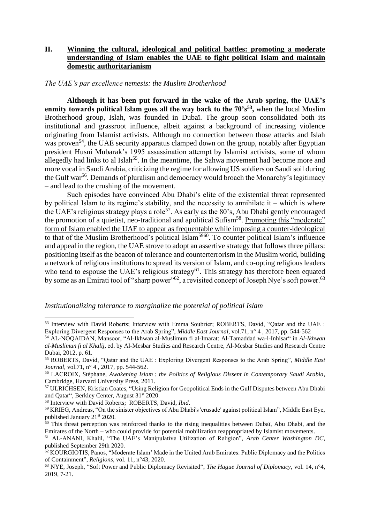# **II. Winning the cultural, ideological and political battles: promoting a moderate understanding of Islam enables the UAE to fight political Islam and maintain domestic authoritarianism**

#### *The UAE's par excellence nemesis: the Muslim Brotherhood*

**Although it has been put forward in the wake of the Arab spring, the UAE's enmity towards political Islam goes all the way back to the 70's<sup>53</sup> ,** when the local Muslim Brotherhood group, Islah, was founded in Dubaï. The group soon consolidated both its institutional and grassroot influence, albeit against a background of increasing violence originating from Islamist activists. Although no connection between those attacks and Islah was proven<sup>54</sup>, the UAE security apparatus clamped down on the group, notably after Egyptian president Husni Mubarak's 1995 assassination attempt by Islamist activists, some of whom allegedly had links to al Islah<sup>55</sup>. In the meantime, the Sahwa movement had become more and more vocal in Saudi Arabia, criticizing the regime for allowing US soldiers on Saudi soil during the Gulf war<sup>56</sup>. Demands of pluralism and democracy would broach the Monarchy's legitimacy – and lead to the crushing of the movement.

Such episodes have convinced Abu Dhabi's elite of the existential threat represented by political Islam to its regime's stability, and the necessity to annihilate it – which is where the UAE's religious strategy plays a role<sup>57</sup>. As early as the 80's, Abu Dhabi gently encouraged the promotion of a quietist, neo-traditional and apolitical Sufism<sup>58</sup>. Promoting this "moderate" form of Islam enabled the UAE to appear as frequentable while imposing a counter-ideological to that of the Muslim Brotherhood's political Islam<sup>5960</sup>. To counter political Islam's influence and appeal in the region, the UAE strove to adopt an assertive strategy that follows three pillars: positioning itself as the beacon of tolerance and counterterrorism in the Muslim world, building a network of religious institutions to spread its version of Islam, and co-opting religious leaders who tend to espouse the UAE's religious strategy<sup>61</sup>. This strategy has therefore been equated by some as an Emirati tool of "sharp power"<sup>62</sup>, a revisited concept of Joseph Nye's soft power.<sup>63</sup>

## *Institutionalizing tolerance to marginalize the potential of political Islam*

<sup>&</sup>lt;sup>53</sup> Interview with David Roberts; Interview with Emma Soubrier; ROBERTS, David, "Qatar and the UAE : Exploring Divergent Responses to the Arab Spring", *Middle East Journal,* vol.71, n° 4 , 2017, pp. 544-562

<sup>54</sup> AL-NOQAIDAN, Mansoor, "Al-Ikhwan al-Muslimun fi al-Imarat: Al-Tamaddad wa-l-Inhisar" in *Al-Ikhwan al-Muslimun fi al Khalij*, ed. by Al-Mesbar Studies and Research Centre, Al-Mesbar Studies and Research Centre Dubai, 2012, p. 61.

<sup>55</sup> ROBERTS, David, "Qatar and the UAE : Exploring Divergent Responses to the Arab Spring", *Middle East Journal,* vol.71, n° 4 , 2017, pp. 544-562.

<sup>56</sup> LACROIX, Stéphane, *Awakening Islam : the Politics of Religious Dissent in Contemporary Saudi Arabia*, Cambridge, Harvard University Press, 2011.

<sup>57</sup> ULRICHSEN, Kristian Coates, "Using Religion for Geopolitical Ends in the Gulf Disputes between Abu Dhabi and Qatar", Berkley Center, August 31<sup>st</sup> 2020.

<sup>58</sup> Interview with David Roberts; ROBERTS, David, *Ibid*.

<sup>59</sup> KRIEG, Andreas, "On the sinister objectives of Abu Dhabi's 'crusade' against political Islam", Middle East Eye, published January 21st 2020.

 $\frac{60}{60}$  This threat perception was reinforced thanks to the rising inequalities between Dubaï, Abu Dhabi, and the Emirates of the North – who could provide for potential mobilization reappropriated by Islamist movements.

<sup>61</sup> AL-ANANI, Khalil, "The UAE's Manipulative Utilization of Religion", *Arab Center Washington DC*, published September 29th 2020.

 $62$  KOURGIOTIS, Panos, "Moderate Islam' Made in the United Arab Emirates: Public Diplomacy and the Politics of Containment", *Religions,* vol. 11, n°43, 2020.

<sup>63</sup> NYE, Joseph, "Soft Power and Public Diplomacy Revisited", *The Hague Journal of Diplomacy,* vol. 14, n°4, 2019, 7-21.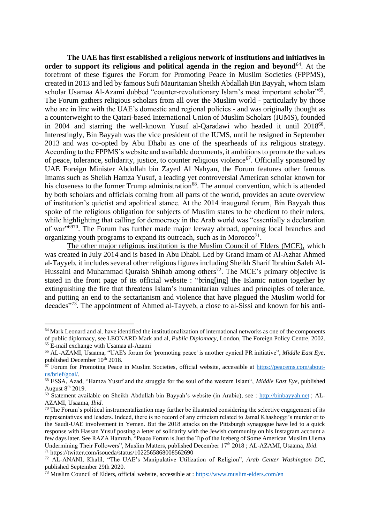**The UAE has first established a religious network of institutions and initiatives in order to support its religious and political agenda in the region and beyond**<sup>64</sup>. At the forefront of these figures the Forum for Promoting Peace in Muslim Societies (FPPMS), created in 2013 and led by famous Sufi Mauritanian Sheikh Abdallah Bin Bayyah, whom Islam scholar Usamaa Al-Azami dubbed "counter-revolutionary Islam's most important scholar"<sup>65</sup>. The Forum gathers religious scholars from all over the Muslim world - particularly by those who are in line with the UAE's domestic and regional policies - and was originally thought as a counterweight to the Qatari-based International Union of Muslim Scholars (IUMS), founded in 2004 and starring the well-known Yusuf al-Qaradawi who headed it until 2018<sup>66</sup>. Interestingly, Bin Bayyah was the vice president of the IUMS, until he resigned in September 2013 and was co-opted by Abu Dhabi as one of the spearheads of its religious strategy. According to the FPPMS's website and available documents, it ambitions to promote the values of peace, tolerance, solidarity, justice, to counter religious violence<sup>67</sup>. Officially sponsored by UAE Foreign Minister Abdullah bin Zayed Al Nahyan, the Forum features other famous Imams such as Sheikh Hamza Yusuf, a leading yet controversial American scholar known for his closeness to the former Trump administration<sup>68</sup>. The annual convention, which is attended by both scholars and officials coming from all parts of the world, provides an acute overview of institution's quietist and apolitical stance. At the 2014 inaugural forum, Bin Bayyah thus spoke of the religious obligation for subjects of Muslim states to be obedient to their rulers, while highlighting that calling for democracy in the Arab world was "essentially a declaration of war"<sup>6970</sup>. The Forum has further made major leeway abroad, opening local branches and organizing youth programs to expand its outreach, such as in Morocco<sup>71</sup>.

The other major religious institution is the Muslim Council of Elders (MCE), which was created in July 2014 and is based in Abu Dhabi. Led by Grand Imam of Al-Azhar Ahmed al-Tayyeb, it includes several other religious figures including Sheikh Sharif Ibrahim Saleh Al-Hussaini and Muhammad Quraish Shihab among others<sup>72</sup>. The MCE's primary objective is stated in the front page of its official website : "bring[ing] the Islamic nation together by extinguishing the fire that threatens Islam's humanitarian values and principles of tolerance, and putting an end to the sectarianism and violence that have plagued the Muslim world for decades"<sup>73</sup>. The appointment of Ahmed al-Tayyeb, a close to al-Sissi and known for his anti-

 $64$  Mark Leonard and al. have identified the institutionalization of international networks as one of the components of public diplomacy, see LEONARD Mark and al, *Public Diplomacy*, London, The Foreign Policy Centre, 2002. <sup>65</sup> E-mail exchange with Usamaa al-Azami

<sup>66</sup> AL-AZAMI, Usaama, "UAE's forum for 'promoting peace' is another cynical PR initiative", *Middle East Eye*, published December 10<sup>th</sup> 2018.

<sup>&</sup>lt;sup>67</sup> Forum for Promoting Peace in Muslim Societies, official website, accessible at [https://peacems.com/about](https://peacems.com/about-us/brief/goal/)[us/brief/goal/.](https://peacems.com/about-us/brief/goal/) 

<sup>68</sup> ESSA, Azad, "Hamza Yusuf and the struggle for the soul of the western Islam", *Middle East Eye,* published August 8th 2019.

<sup>69</sup> Statement available on Sheikh Abdullah bin Bayyah's website (in Arabic), see : [http://binbayyah.net](http://binbayyah.net/) ; AL-AZAMI, Usaama, *Ibid*.

 $70$  The Forum's political instrumentalization may further be illustrated considering the selective engagement of its representatives and leaders. Indeed, there is no record of any criticism related to Jamal Khashoggi's murder or to the Saudi-UAE involvement in Yemen. But the 2018 attacks on the Pittsburgh synagogue have led to a quick response with Hassan Yusuf posting a letter of solidarity with the Jewish community on his Instagram account a few days later. See RAZA Hamzah, "Peace Forum is Just the Tip of the Iceberg of Some American Muslim Ulema Undermining Their Followers", Muslim Matters, published December 17<sup>th</sup> 2018; AL-AZAMI, Usaama, *Ibid.* <sup>71</sup> https://twitter.com/isoueda/status/1022565868008562690

<sup>72</sup> AL-ANANI, Khalil, "The UAE's Manipulative Utilization of Religion", *Arab Center Washington DC*, published September 29th 2020.

 $\frac{1}{73}$  Muslim Council of Elders, official website, accessible at :<https://www.muslim-elders.com/en>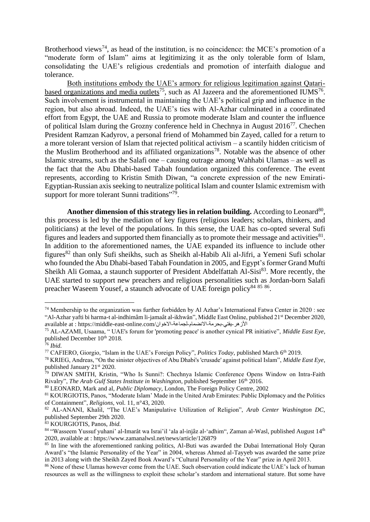Brotherhood views<sup>74</sup>, as head of the institution, is no coincidence: the MCE's promotion of a "moderate form of Islam" aims at legitimizing it as the only tolerable form of Islam, consolidating the UAE's religious credentials and promotion of interfaith dialogue and tolerance.

Both institutions embody the UAE's armory for religious legitimation against Qataribased organizations and media outlets<sup>75</sup>, such as Al Jazeera and the aforementioned IUMS<sup>76</sup>. Such involvement is instrumental in maintaining the UAE's political grip and influence in the region, but also abroad. Indeed, the UAE's ties with Al-Azhar culminated in a coordinated effort from Egypt, the UAE and Russia to promote moderate Islam and counter the influence of political Islam during the Grozny conference held in Chechnya in August 2016<sup>77</sup>. Chechen President Ramzan Kadyrov, a personal friend of Mohammed bin Zayed, called for a return to a more tolerant version of Islam that rejected political activism – a scantily hidden criticism of the Muslim Brotherhood and its affiliated organizations<sup>78</sup>. Notable was the absence of other Islamic streams, such as the Salafi one – causing outrage among Wahhabi Ulamas – as well as the fact that the Abu Dhabi-based Tabah foundation organized this conference. The event represents, according to Kristin Smith Diwan, "a concrete expression of the new Emirati-Egyptian-Russian axis seeking to neutralize political Islam and counter Islamic extremism with support for more tolerant Sunni traditions"<sup>79</sup>.

Another dimension of this strategy lies in relation building. According to Leonard<sup>80</sup>, this process is led by the mediation of key figures (religious leaders; scholars, thinkers, and politicians) at the level of the populations. In this sense, the UAE has co-opted several Sufi figures and leaders and supported them financially as to promote their message and activities $81$ . In addition to the aforementioned names, the UAE expanded its influence to include other figures<sup>82</sup> than only Sufi sheikhs, such as Sheikh al-Habib Ali al-Jifri, a Yemeni Sufi scholar who founded the Abu Dhabi-based Tabah Foundation in 2005, and Egypt's former Grand Mufti Sheikh Ali Gomaa, a staunch supporter of President Abdelfattah Al-Sisi<sup>83</sup>. More recently, the UAE started to support new preachers and religious personalities such as Jordan-born Salafi preacher Waseem Yousef, a staunch advocate of UAE foreign policy<sup>84 85</sup> 86.

<sup>&</sup>lt;sup>74</sup> Membership to the organization was further forbidden by Al Azhar's International Fatwa Center in 2020 : see "Al-Azhar yafti bi harma-t al-indhimâm li-jamaât al-ikhwân", Middle East Online, published 21st December 2020, available at : https://middle-east-online.com/ الأزهر-يفتي-بحرمة-الانضمام-لجماعة-الاخوان/

<sup>75</sup> AL-AZAMI, Usaama, " UAE's forum for 'promoting peace' is another cynical PR initiative", *Middle East Eye*, published December  $10^{th}$  2018.

<sup>76</sup> *Ibid.*

<sup>77</sup> CAFIERO, Giorgio, "Islam in the UAE's Foreign Policy", *Politics Today*, published March 6th 2019.

<sup>78</sup> KRIEG, Andreas, "On the sinister objectives of Abu Dhabi's 'crusade' against political Islam", *Middle East Eye*, published January 21<sup>st</sup> 2020.

<sup>79</sup> DIWAN SMITH, Kristin, "Who Is Sunni?: Chechnya Islamic Conference Opens Window on Intra-Faith Rivalry", *The Arab Gulf States Institute in Washington*, published September 16<sup>th</sup> 2016.

<sup>80</sup> LEONARD, Mark and al, *Public Diplomacy*, London, The Foreign Policy Centre, 2002

<sup>81</sup> KOURGIOTIS, Panos, "Moderate Islam' Made in the United Arab Emirates: Public Diplomacy and the Politics of Containment", *Religions,* vol. 11, n°43, 2020.

<sup>82</sup> AL-ANANI, Khalil, "The UAE's Manipulative Utilization of Religion", *Arab Center Washington DC*, published September 29th 2020.

<sup>83</sup> KOURGIOTIS, Panos, *Ibid.*

<sup>84</sup> "Wasseem Yussuf yuhani' al-Imarât wa Israi'il 'ala al-injâz al-'adhim", Zaman al-Wasl, published August 14th 2020, available at : https://www.zamanalwsl.net/news/article/126879

<sup>&</sup>lt;sup>85</sup> In line with the aforementioned ranking politics, Al-Buti was awarded the Dubai International Holy Quran Award's "the Islamic Personality of the Year" in 2004, whereas Ahmed al-Tayyeb was awarded the same prize in 2013 along with the Sheikh Zayed Book Award's "Cultural Personality of the Year" prize in April 2013.

<sup>86</sup> None of these Ulamas however come from the UAE. Such observation could indicate the UAE's lack of human resources as well as the willingness to exploit these scholar's stardom and international stature. But some have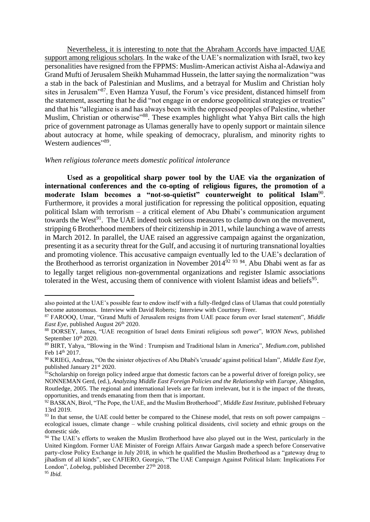Nevertheless, it is interesting to note that the Abraham Accords have impacted UAE support among religious scholars. In the wake of the UAE's normalization with Israël, two key personalities have resigned from the FPPMS: Muslim-American activist Aisha al-Adawiya and Grand Mufti of Jerusalem Sheikh Muhammad Hussein, the latter saying the normalization "was a stab in the back of Palestinian and Muslims, and a betrayal for Muslim and Christian holy sites in Jerusalem"<sup>87</sup>. Even Hamza Yusuf, the Forum's vice president, distanced himself from the statement, asserting that he did "not engage in or endorse geopolitical strategies or treaties" and that his "allegiance is and has always been with the oppressed peoples of Palestine, whether Muslim, Christian or otherwise"<sup>88</sup>. These examples highlight what Yahya Birt calls the high price of government patronage as Ulamas generally have to openly support or maintain silence about autocracy at home, while speaking of democracy, pluralism, and minority rights to Western audiences"<sup>89</sup>.

#### *When religious tolerance meets domestic political intolerance*

**Used as a geopolitical sharp power tool by the UAE via the organization of international conferences and the co-opting of religious figures, the promotion of a moderate Islam becomes a "not-so-quietist" counterweight to political Islam**<sup>90</sup> . Furthermore, it provides a moral justification for repressing the political opposition, equating political Islam with terrorism – a critical element of Abu Dhabi's communication argument towards the West<sup>91</sup>. The UAE indeed took serious measures to clamp down on the movement, stripping 6 Brotherhood members of their citizenship in 2011, while launching a wave of arrests in March 2012. In parallel, the UAE raised an aggressive campaign against the organization, presenting it as a security threat for the Gulf, and accusing it of nurturing transnational loyalties and promoting violence. This accusative campaign eventually led to the UAE's declaration of the Brotherhood as terrorist organization in November 2014<sup>92 93</sup> 94. Abu Dhabi went as far as to legally target religious non-governmental organizations and register Islamic associations tolerated in the West, accusing them of connivence with violent Islamist ideas and beliefs<sup>95</sup>.

also pointed at the UAE's possible fear to endow itself with a fully-fledged class of Ulamas that could potentially become autonomous. Interview with David Roberts; Interview with Courtney Freer.

<sup>87</sup> FAROOQ, Umar, "Grand Mufti of Jerusalem resigns from UAE peace forum over Israel statement", *Middle East Eye*, published August 26<sup>th</sup> 2020.

<sup>88</sup> DORSEY, James, "UAE recognition of Israel dents Emirati religious soft power", *WION News,* published September 10<sup>th</sup> 2020.

<sup>89</sup> BIRT, Yahya, "Blowing in the Wind : Trumpism and Traditional Islam in America", *Medium.com*, published Feb 14th 2017.

<sup>90</sup> KRIEG, Andreas, "On the sinister objectives of Abu Dhabi's 'crusade' against political Islam", *Middle East Eye*, published January 21st 2020.

<sup>&</sup>lt;sup>91</sup>Scholarship on foreign policy indeed argue that domestic factors can be a powerful driver of foreign policy, see NONNEMAN Gerd, (ed.), *Analyzing Middle East Foreign Policies and the Relationship with Europe,* Abingdon, Routledge, 2005. The regional and international levels are far from irrelevant, but it is the impact of the threats, opportunities, and trends emanating from them that is important.

<sup>92</sup> BASKAN, Birol, "The Pope, the UAE, and the Muslim Brotherhood", *Middle East Institute,* published February 13rd 2019.

 $93$  In that sense, the UAE could better be compared to the Chinese model, that rests on soft power campaigns – ecological issues, climate change – while crushing political dissidents, civil society and ethnic groups on the domestic side.

<sup>&</sup>lt;sup>94</sup> The UAE's efforts to weaken the Muslim Brotherhood have also played out in the West, particularly in the United Kingdom. Former UAE Minister of Foreign Affairs Anwar Gargash made a speech before Conservative party-close Policy Exchange in July 2018, in which he qualified the Muslim Brotherhood as a "gateway drug to jihadism of all kinds", see CAFIERO, Georgio, "The UAE Campaign Against Political Islam: Implications For London", *Lobelog*, published December 27<sup>th</sup> 2018.

<sup>95</sup> *Ibid.*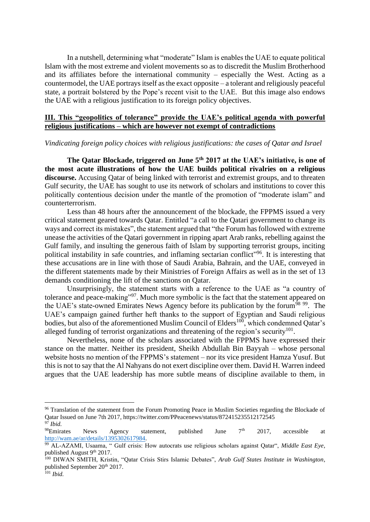In a nutshell, determining what "moderate" Islam is enables the UAE to equate political Islam with the most extreme and violent movements so as to discredit the Muslim Brotherhood and its affiliates before the international community – especially the West. Acting as a countermodel, the UAE portrays itself as the exact opposite – a tolerant and religiously peaceful state, a portrait bolstered by the Pope's recent visit to the UAE. But this image also endows the UAE with a religious justification to its foreign policy objectives.

## **III. This "geopolitics of tolerance" provide the UAE's political agenda with powerful religious justifications – which are however not exempt of contradictions**

*Vindicating foreign policy choices with religious justifications: the cases of Qatar and Israel*

**The Qatar Blockade, triggered on June 5th 2017 at the UAE's initiative, is one of the most acute illustrations of how the UAE builds political rivalries on a religious discourse.** Accusing Qatar of being linked with terrorist and extremist groups, and to threaten Gulf security, the UAE has sought to use its network of scholars and institutions to cover this politically contentious decision under the mantle of the promotion of "moderate islam" and counterterrorism.

Less than 48 hours after the announcement of the blockade, the FPPMS issued a very critical statement geared towards Qatar. Entitled "a call to the Qatari government to change its ways and correct its mistakes", the statement argued that "the Forum has followed with extreme unease the activities of the Qatari government in ripping apart Arab ranks, rebelling against the Gulf family, and insulting the generous faith of Islam by supporting terrorist groups, inciting political instability in safe countries, and inflaming sectarian conflict<sup>196</sup>. It is interesting that these accusations are in line with those of Saudi Arabia, Bahrain, and the UAE, conveyed in the different statements made by their Ministries of Foreign Affairs as well as in the set of 13 demands conditioning the lift of the sanctions on Qatar.

Unsurprisingly, the statement starts with a reference to the UAE as "a country of tolerance and peace-making<sup>"97</sup>. Much more symbolic is the fact that the statement appeared on the UAE's state-owned Emirates News Agency before its publication by the forum<sup>98 99</sup>. The UAE's campaign gained further heft thanks to the support of Egyptian and Saudi religious bodies, but also of the aforementioned Muslim Council of Elders<sup>100</sup>, which condemned Qatar's alleged funding of terrorist organizations and threatening of the region's security $101$ .

Nevertheless, none of the scholars associated with the FPPMS have expressed their stance on the matter. Neither its president, Sheikh Abdullah Bin Bayyah – whose personal website hosts no mention of the FPPMS's statement – nor its vice president Hamza Yusuf. But this is not to say that the Al Nahyans do not exert discipline over them. David H. Warren indeed argues that the UAE leadership has more subtle means of discipline available to them, in

<sup>&</sup>lt;sup>96</sup> Translation of the statement from the Forum Promoting Peace in Muslim Societies regarding the Blockade of Qatar Issued on June 7th 2017, https://twitter.com/PPeacenews/status/872415235512172545 <sup>97</sup> *Ibid.*

<sup>&</sup>lt;sup>98</sup>Emirates News Agency statement, published June  $7<sup>th</sup>$  2017, accessible at [http://wam.ae/ar/details/1395302617984.](http://wam.ae/ar/details/1395302617984)

<sup>99</sup> AL-AZAMI, Usaama, " Gulf crisis: How autocrats use religious scholars against Qatar", *Middle East Eye*, published August 9<sup>th</sup> 2017.

<sup>100</sup> DIWAN SMITH, Kristin, "Qatar Crisis Stirs Islamic Debates", *Arab Gulf States Institute in Washington*, published September 20<sup>th</sup> 2017.

<sup>101</sup> *Ibid.*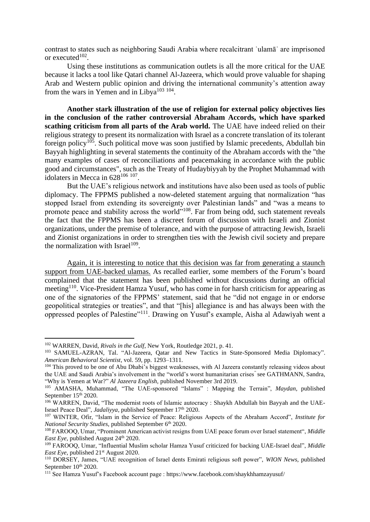contrast to states such as neighboring Saudi Arabia where recalcitrant ʿulamāʾ are imprisoned or executed $102$ .

Using these institutions as communication outlets is all the more critical for the UAE because it lacks a tool like Qatari channel Al-Jazeera, which would prove valuable for shaping Arab and Western public opinion and driving the international community's attention away from the wars in Yemen and in Libya $103 \t{104}$ .

**Another stark illustration of the use of religion for external policy objectives lies in the conclusion of the rather controversial Abraham Accords, which have sparked scathing criticism from all parts of the Arab world.** The UAE have indeed relied on their religious strategy to present its normalization with Israel as a concrete translation of its tolerant foreign policy<sup>105</sup>. Such political move was soon justified by Islamic precedents, Abdullah bin Bayyah highlighting in several statements the continuity of the Abraham accords with the "the many examples of cases of reconciliations and peacemaking in accordance with the public good and circumstances", such as the Treaty of Hudaybiyyah by the Prophet Muhammad with idolaters in Mecca in  $628^{106}$  107.

But the UAE's religious network and institutions have also been used as tools of public diplomacy. The FPPMS published a now-deleted statement arguing that normalization "has stopped Israel from extending its sovereignty over Palestinian lands" and "was a means to promote peace and stability across the world"<sup>108</sup>. Far from being odd, such statement reveals the fact that the FPPMS has been a discreet forum of discussion with Israeli and Zionist organizations, under the premise of tolerance, and with the purpose of attracting Jewish, Israeli and Zionist organizations in order to strengthen ties with the Jewish civil society and prepare the normalization with Israel<sup>109</sup>.

Again, it is interesting to notice that this decision was far from generating a staunch support from UAE-backed ulamas. As recalled earlier, some members of the Forum's board complained that the statement has been published without discussions during an official meeting<sup>110</sup>. Vice-President Hamza Yusuf, who has come in for harsh criticism for appearing as one of the signatories of the FPPMS' statement, said that he "did not engage in or endorse geopolitical strategies or treaties", and that "[his] allegiance is and has always been with the oppressed peoples of Palestine"<sup>111</sup>. Drawing on Yusuf's example, Aisha al Adawiyah went a

<sup>102</sup> WARREN, David, *Rivals in the Gulf*, New York, Routledge 2021, p. 41.

<sup>103</sup> SAMUEL-AZRAN, Tal. "Al-Jazeera, Qatar and New Tactics in State-Sponsored Media Diplomacy". *American Behavioral Scientist*, vol. 59, pp. 1293–1311.

<sup>&</sup>lt;sup>104</sup> This proved to be one of Abu Dhabi's biggest weaknesses, with Al Jazeera constantly releasing videos about the UAE and Saudi Arabia's involvement in the "world's worst humanitarian crises" see GATHMANN, Sandra, "Why is Yemen at War?" *Al Jazeera English,* published November 3rd 2019.

<sup>105</sup> AMASHA, Muhammad, "The UAE-sponsored "Islams" : Mapping the Terrain", *Maydan*, published September 15<sup>th</sup> 2020.

<sup>&</sup>lt;sup>106</sup> WARREN, David, "The modernist roots of Islamic autocracy : Shaykh Abdullah bin Bayyah and the UAE-Israel Peace Deal", *Jadaliyya*, published September 17<sup>th</sup> 2020.

<sup>107</sup> WINTER, Ofir, "Islam in the Service of Peace: Religious Aspects of the Abraham Accord", *Institute for National Security Studies, published September 6<sup>th</sup> 2020.* 

<sup>108</sup> FAROOQ, Umar, "Prominent American activist resigns from UAE peace forum over Israel statement", *Middle East Eye, published August 24<sup>th</sup> 2020.* 

<sup>109</sup> FAROOQ, Umar, "Influential Muslim scholar Hamza Yusuf criticized for backing UAE-Israel deal", *Middle East Eye*, published 21<sup>st</sup> August 2020.

<sup>110</sup> DORSEY, James, "UAE recognition of Israel dents Emirati religious soft power", *WION News,* published September  $10<sup>th</sup> 2020$ .

<sup>111</sup> See Hamza Yusuf's Facebook account page : https://www.facebook.com/shaykhhamzayusuf/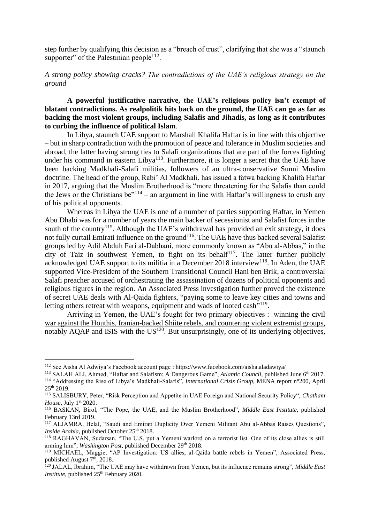step further by qualifying this decision as a "breach of trust", clarifying that she was a "staunch supporter" of the Palestinian people $^{112}$ .

## *A strong policy showing cracks? The contradictions of the UAE's religious strategy on the ground*

# **A powerful justificative narrative, the UAE's religious policy isn't exempt of blatant contradictions. As realpolitik hits back on the ground, the UAE can go as far as backing the most violent groups, including Salafis and Jihadis, as long as it contributes to curbing the influence of political Islam**.

In Libya, staunch UAE support to Marshall Khalifa Haftar is in line with this objective – but in sharp contradiction with the promotion of peace and tolerance in Muslim societies and abroad, the latter having strong ties to Salafi organizations that are part of the forces fighting under his command in eastern Libya<sup>113</sup>. Furthermore, it is longer a secret that the UAE have been backing Madkhali-Salafi militias, followers of an ultra-conservative Sunni Muslim doctrine. The head of the group, Rabi' Al Madkhali, has issued a fatwa backing Khalifa Haftar in 2017, arguing that the Muslim Brotherhood is "more threatening for the Salafis than could the Jews or the Christians be $^{114}$  – an argument in line with Haftar's willingness to crush any of his political opponents.

Whereas in Libya the UAE is one of a number of parties supporting Haftar, in Yemen Abu Dhabi was for a number of years the main backer of secessionist and Salafist forces in the south of the country<sup>115</sup>. Although the UAE's withdrawal has provided an exit strategy, it does not fully curtail Emirati influence on the ground<sup>116</sup>. The UAE have thus backed several Salafist groups led by Adil Abduh Fari al-Dabhani, more commonly known as "Abu al-Abbas," in the city of Taiz in southwest Yemen, to fight on its behalf<sup>117</sup>. The latter further publicly acknowledged UAE support to its militia in a December 2018 interview<sup>118</sup>. In Aden, the UAE supported Vice-President of the Southern Transitional Council Hani ben Brik, a controversial Salafi preacher accused of orchestrating the assassination of dozens of political opponents and religious figures in the region. An Associated Press investigation further proved the existence of secret UAE deals with Al-Qaida fighters, "paying some to leave key cities and towns and letting others retreat with weapons, equipment and wads of looted cash"<sup>119</sup>.

Arriving in Yemen, the UAE's fought for two primary objectives : winning the civil war against the Houthis, Iranian-backed Shiite rebels, and countering violent extremist groups, notably AQAP and ISIS with the  $US^{120}$ . But unsurprisingly, one of its underlying objectives,

<sup>112</sup> See Aisha Al Adwiya's Facebook account page : https://www.facebook.com/aisha.aladawiya/

<sup>113</sup> SALAH ALI, Ahmed, "Haftar and Salafism: A Dangerous Game", *Atlantic Council,* published June 6th 2017. <sup>114</sup> "Addressing the Rise of Libya's Madkhali-Salafis", *International Crisis Group,* MENA report n°200, April 25th 2019.

<sup>115</sup> SALISBURY, Peter, "Risk Perception and Appetite in UAE Foreign and National Security Policy", *Chatham House*, July 1<sup>st</sup> 2020.

<sup>116</sup> BASKAN, Birol, "The Pope, the UAE, and the Muslim Brotherhood", *Middle East Institute,* published February 13rd 2019.

<sup>117</sup> ALJAMRA, Helal, "Saudi and Emirati Duplicity Over Yemeni Militant Abu al-Abbas Raises Questions", *Inside Arabia, published October 25<sup>th</sup> 2018.* 

<sup>118</sup> RAGHAVAN, Sudarsan, "The U.S. put a Yemeni warlord on a terrorist list. One of its close allies is still arming him", *Washington Post*, published December 29<sup>th</sup> 2018.

<sup>119</sup> MICHAEL, Maggie, "AP Investigation: US allies, al-Qaida battle rebels in Yemen", Associated Press, published August 7<sup>th</sup>, 2018.

<sup>120</sup> JALAL, Ibrahim, "The UAE may have withdrawn from Yemen, but its influence remains strong", *Middle East Institute, published 25<sup>th</sup> February 2020.*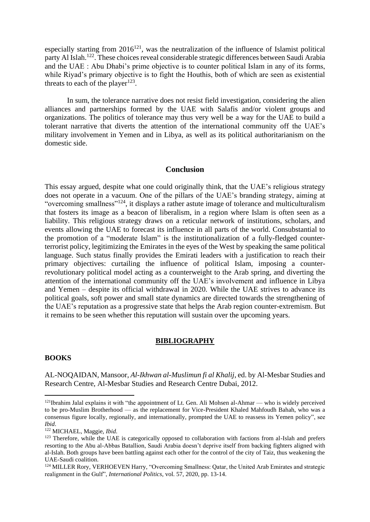especially starting from  $2016^{121}$ , was the neutralization of the influence of Islamist political party Al Islah.<sup>122</sup>. These choices reveal considerable strategic differences between Saudi Arabia and the UAE : Abu Dhabi's prime objective is to counter political Islam in any of its forms, while Riyad's primary objective is to fight the Houthis, both of which are seen as existential threats to each of the player<sup>123</sup>.

In sum, the tolerance narrative does not resist field investigation, considering the alien alliances and partnerships formed by the UAE with Salafis and/or violent groups and organizations. The politics of tolerance may thus very well be a way for the UAE to build a tolerant narrative that diverts the attention of the international community off the UAE's military involvement in Yemen and in Libya, as well as its political authoritarianism on the domestic side.

### **Conclusion**

This essay argued, despite what one could originally think, that the UAE's religious strategy does not operate in a vacuum. One of the pillars of the UAE's branding strategy, aiming at "overcoming smallness"<sup>124</sup>, it displays a rather astute image of tolerance and multiculturalism that fosters its image as a beacon of liberalism, in a region where Islam is often seen as a liability. This religious strategy draws on a reticular network of institutions, scholars, and events allowing the UAE to forecast its influence in all parts of the world. Consubstantial to the promotion of a "moderate Islam" is the institutionalization of a fully-fledged counterterrorist policy, legitimizing the Emirates in the eyes of the West by speaking the same political language. Such status finally provides the Emirati leaders with a justification to reach their primary objectives: curtailing the influence of political Islam, imposing a counterrevolutionary political model acting as a counterweight to the Arab spring, and diverting the attention of the international community off the UAE's involvement and influence in Libya and Yemen – despite its official withdrawal in 2020. While the UAE strives to advance its political goals, soft power and small state dynamics are directed towards the strengthening of the UAE's reputation as a progressive state that helps the Arab region counter-extremism. But it remains to be seen whether this reputation will sustain over the upcoming years.

#### **BIBLIOGRAPHY**

#### **BOOKS**

AL-NOQAIDAN, Mansoor, *Al-Ikhwan al-Muslimun fi al Khalij*, ed. by Al-Mesbar Studies and Research Centre, Al-Mesbar Studies and Research Centre Dubai, 2012.

<sup>&</sup>lt;sup>121</sup>Ibrahim Jalal explains it with "the appointment of Lt. Gen. Ali Mohsen al-Ahmar — who is widely perceived to be pro-Muslim Brotherhood — as the replacement for Vice-President Khaled Mahfoudh Bahah, who was a consensus figure locally, regionally, and internationally, prompted the UAE to reassess its Yemen policy", see *Ibid*.

<sup>122</sup> MICHAEL, Maggie, *Ibid*.

<sup>&</sup>lt;sup>123</sup> Therefore, while the UAE is categorically opposed to collaboration with factions from al-Islah and prefers resorting to the Abu al-Abbas Batallion, Saudi Arabia doesn't deprive itself from backing fighters aligned with al-Islah. Both groups have been battling against each other for the control of the city of Taiz, thus weakening the UAE-Saudi coalition.

<sup>&</sup>lt;sup>124</sup> MILLER Rory, VERHOEVEN Harry, "Overcoming Smallness: Qatar, the United Arab Emirates and strategic realignment in the Gulf", *International Politics*, vol. 57, 2020, pp. 13-14.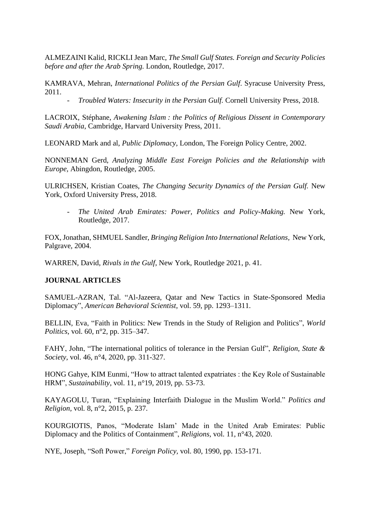ALMEZAINI Kalid, RICKLI Jean Marc, *The Small Gulf States. Foreign and Security Policies before and after the Arab Spring.* London, Routledge, 2017.

KAMRAVA, Mehran, *International Politics of the Persian Gulf*. Syracuse University Press, 2011.

*- Troubled Waters: Insecurity in the Persian Gulf.* Cornell University Press, 2018.

LACROIX, Stéphane, *Awakening Islam : the Politics of Religious Dissent in Contemporary Saudi Arabia*, Cambridge, Harvard University Press, 2011.

LEONARD Mark and al, *Public Diplomacy*, London, The Foreign Policy Centre, 2002.

NONNEMAN Gerd, *Analyzing Middle East Foreign Policies and the Relationship with Europe,* Abingdon, Routledge, 2005.

ULRICHSEN, Kristian Coates, *The Changing Security Dynamics of the Persian Gulf.* New York, Oxford University Press, 2018.

*- The United Arab Emirates: Power, Politics and Policy-Making.* New York, Routledge, 2017.

FOX,Jonathan, SHMUEL Sandler, *Bringing Religion Into International Relations,* New York, Palgrave, 2004.

WARREN, David, *Rivals in the Gulf*, New York, Routledge 2021, p. 41.

## **JOURNAL ARTICLES**

SAMUEL-AZRAN, Tal. "Al-Jazeera, Qatar and New Tactics in State-Sponsored Media Diplomacy", *American Behavioral Scientist*, vol. 59, pp. 1293–1311.

BELLIN, Eva, "Faith in Politics: New Trends in the Study of Religion and Politics", *World Politics*, vol. 60, n°2, pp. 315–347.

FAHY, John, "The international politics of tolerance in the Persian Gulf", *Religion, State & Society,* vol. 46, n°4, 2020, pp. 311-327.

HONG Gahye, KIM Eunmi, "How to attract talented expatriates : the Key Role of Sustainable HRM", *Sustainability*, vol. 11, n°19, 2019, pp. 53-73.

KAYAGOLU, Turan, "Explaining Interfaith Dialogue in the Muslim World." *Politics and Religion,* vol*.* 8, n°2, 2015, p. 237.

KOURGIOTIS, Panos, "Moderate Islam' Made in the United Arab Emirates: Public Diplomacy and the Politics of Containment", *Religions,* vol. 11, n°43, 2020.

NYE, Joseph, "Soft Power," *Foreign Policy,* vol. 80, 1990, pp. 153-171.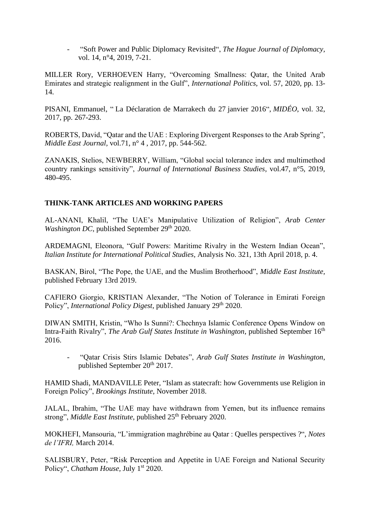*-* "Soft Power and Public Diplomacy Revisited", *The Hague Journal of Diplomacy,*  vol. 14, n°4, 2019, 7-21.

MILLER Rory, VERHOEVEN Harry, "Overcoming Smallness: Qatar, the United Arab Emirates and strategic realignment in the Gulf", *International Politics*, vol. 57, 2020, pp. 13- 14.

PISANI, Emmanuel, " La Déclaration de Marrakech du 27 janvier 2016", *MIDÉO*, vol. 32, 2017, pp. 267-293.

ROBERTS, David, "Qatar and the UAE : Exploring Divergent Responses to the Arab Spring", *Middle East Journal,* vol.71, n° 4 , 2017, pp. 544-562.

ZANAKIS, Stelios, NEWBERRY, William, "Global social tolerance index and multimethod country rankings sensitivity", *Journal of International Business Studies*, vol.47, n°5, 2019, 480-495.

# **THINK-TANK ARTICLES AND WORKING PAPERS**

AL-ANANI, Khalil, "The UAE's Manipulative Utilization of Religion", *Arab Center Washington DC*, published September 29<sup>th</sup> 2020.

ARDEMAGNI, Eleonora, "Gulf Powers: Maritime Rivalry in the Western Indian Ocean", *Italian Institute for International Political Studies*, Analysis No. 321, 13th April 2018, p. 4.

BASKAN, Birol, "The Pope, the UAE, and the Muslim Brotherhood", *Middle East Institute,* published February 13rd 2019.

CAFIERO Giorgio, KRISTIAN Alexander, "The Notion of Tolerance in Emirati Foreign Policy", *International Policy Digest*, published January 29<sup>th</sup> 2020.

DIWAN SMITH, Kristin, "Who Is Sunni?: Chechnya Islamic Conference Opens Window on Intra-Faith Rivalry", *The Arab Gulf States Institute in Washington*, published September 16<sup>th</sup> 2016.

*-* "Qatar Crisis Stirs Islamic Debates", *Arab Gulf States Institute in Washington*, published September 20th 2017.

HAMID Shadi, MANDAVILLE Peter, "Islam as statecraft: how Governments use Religion in Foreign Policy", *Brookings Institute*, November 2018.

JALAL, Ibrahim, "The UAE may have withdrawn from Yemen, but its influence remains strong", *Middle East Institute*, published  $25<sup>th</sup>$  February 2020.

MOKHEFI, Mansouria, "L'immigration maghrébine au Qatar : Quelles perspectives ?", *Notes de l'IFRI,* March 2014.

SALISBURY, Peter, "Risk Perception and Appetite in UAE Foreign and National Security Policy", *Chatham House*, July 1<sup>st</sup> 2020.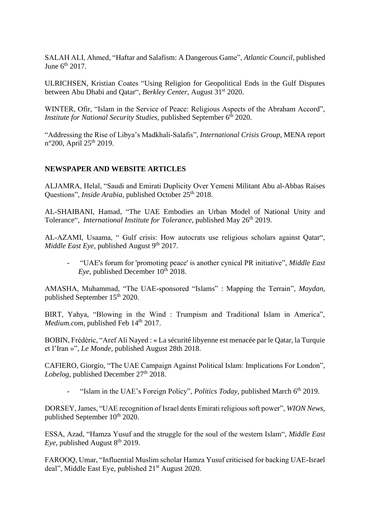SALAH ALI, Ahmed, "Haftar and Salafism: A Dangerous Game", *Atlantic Council*, published June  $6^{th}$  2017.

ULRICHSEN, Kristian Coates "Using Religion for Geopolitical Ends in the Gulf Disputes between Abu Dhabi and Qatar", *Berkley Center,* August 31st 2020.

WINTER, Ofir, "Islam in the Service of Peace: Religious Aspects of the Abraham Accord", *Institute for National Security Studies, published September 6<sup>th</sup> 2020.* 

"Addressing the Rise of Libya's Madkhali-Salafis", *International Crisis Group*, MENA report n°200, April 25<sup>th</sup> 2019.

## **NEWSPAPER AND WEBSITE ARTICLES**

ALJAMRA, Helal, "Saudi and Emirati Duplicity Over Yemeni Militant Abu al-Abbas Raises Questions", *Inside Arabia*, published October 25<sup>th</sup> 2018.

AL-SHAIBANI, Hamad, "The UAE Embodies an Urban Model of National Unity and Tolerance", *International Institute for Tolerance*, published May 26<sup>th</sup> 2019.

AL-AZAMI, Usaama, " Gulf crisis: How autocrats use religious scholars against Qatar", *Middle East Eye,* published August 9<sup>th</sup> 2017.

*-* "UAE's forum for 'promoting peace' is another cynical PR initiative", *Middle East*   $Eye$ , published December  $10^{th}$  2018.

AMASHA, Muhammad, "The UAE-sponsored "Islams" : Mapping the Terrain", *Maydan,* published September 15th 2020.

BIRT, Yahya, "Blowing in the Wind : Trumpism and Traditional Islam in America", *Medium.com, published Feb 14<sup>th</sup> 2017.* 

BOBIN, Frédéric, "Aref Ali Nayed : « La sécurité libyenne est menacée par le Qatar, la Turquie et l'Iran »", *Le Monde*, published August 28th 2018.

CAFIERO, Giorgio, "The UAE Campaign Against Political Islam: Implications For London", *Lobelog*, published December  $27<sup>th</sup> 2018$ .

*-* "Islam in the UAE's Foreign Policy", *Politics Today*, published March 6th 2019.

DORSEY, James, "UAE recognition of Israel dents Emirati religious soft power", *WION News,*  published September 10<sup>th</sup> 2020.

ESSA, Azad, "Hamza Yusuf and the struggle for the soul of the western Islam", *Middle East Eye, published August*  $8<sup>th</sup>$  2019.

FAROOQ, Umar, "Influential Muslim scholar Hamza Yusuf criticised for backing UAE-Israel deal", Middle East Eye, published 21<sup>st</sup> August 2020.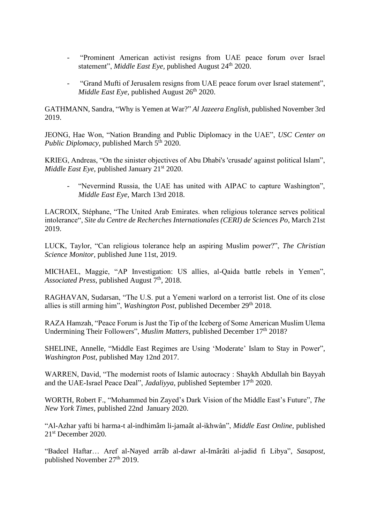- *-* "Prominent American activist resigns from UAE peace forum over Israel statement", *Middle East Eye*, published August 24<sup>th</sup> 2020.
- *-* "Grand Mufti of Jerusalem resigns from UAE peace forum over Israel statement", *Middle East Eye*, published August 26<sup>th</sup> 2020.

GATHMANN, Sandra, "Why is Yemen at War?" *Al Jazeera English*, published November 3rd 2019.

JEONG, Hae Won, "Nation Branding and Public Diplomacy in the UAE", *USC Center on Public Diplomacy*, published March  $5<sup>th</sup> 2020$ .

KRIEG, Andreas, "On the sinister objectives of Abu Dhabi's 'crusade' against political Islam", *Middle East Eye*, published January 21<sup>st</sup> 2020.

*-* "Nevermind Russia, the UAE has united with AIPAC to capture Washington", *Middle East Eye*, March 13rd 2018.

LACROIX, Stéphane, "The United Arab Emirates. when religious tolerance serves political intolerance", *Site du Centre de Recherches Internationales (CERI) de Sciences Po*, March 21st 2019.

LUCK, Taylor, "Can religious tolerance help an aspiring Muslim power?", *The Christian Science Monitor,* published June 11st, 2019.

MICHAEL, Maggie, "AP Investigation: US allies, al-Qaida battle rebels in Yemen", Associated Press, published August 7<sup>th</sup>, 2018.

RAGHAVAN, Sudarsan, "The U.S. put a Yemeni warlord on a terrorist list. One of its close allies is still arming him", *Washington Post*, published December 29<sup>th</sup> 2018.

RAZA Hamzah, "Peace Forum is Just the Tip of the Iceberg of Some American Muslim Ulema Undermining Their Followers", *Muslim Matters*, published December 17th 2018?

SHELINE, Annelle, "Middle East Regimes are Using 'Moderate' Islam to Stay in Power", *Washington Post,* published May 12nd 2017.

WARREN, David, "The modernist roots of Islamic autocracy : Shaykh Abdullah bin Bayyah and the UAE-Israel Peace Deal", *Jadaliyya*, published September 17<sup>th</sup> 2020.

WORTH, Robert F., "Mohammed bin Zayed's Dark Vision of the Middle East's Future", *The New York Times*, published 22nd January 2020.

"Al-Azhar yafti bi harma-t al-indhimâm li-jamaât al-ikhwân", *Middle East Online,* published 21st December 2020.

"Badeel Haftar… Aref al-Nayed arrâb al-dawr al-Imârâti al-jadid fi Libya", *Sasapost*, published November 27th 2019.